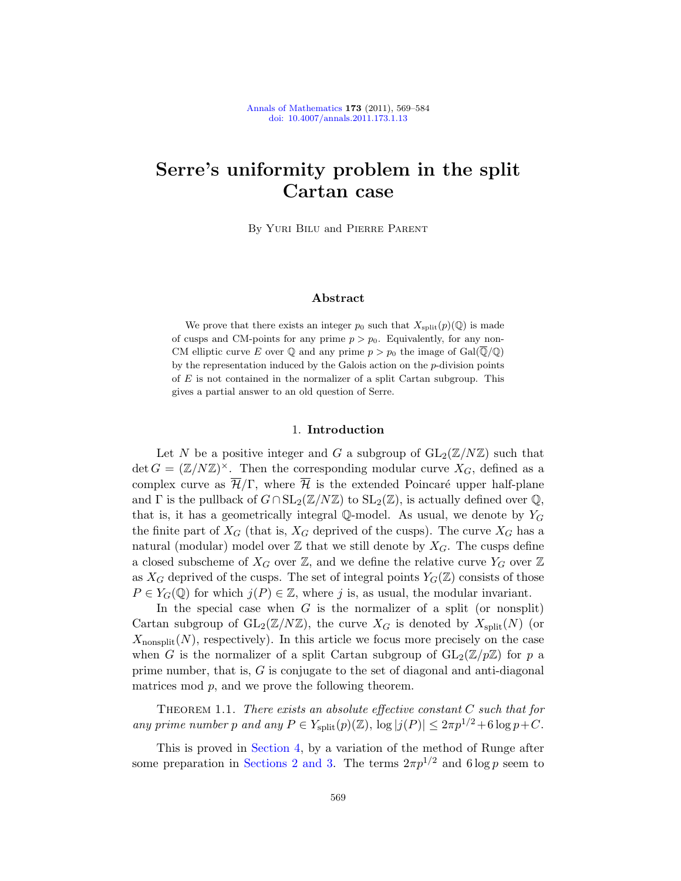# Serre's uniformity problem in the split Cartan case

By Yuri Bilu and Pierre Parent

# Abstract

We prove that there exists an integer  $p_0$  such that  $X_{split}(p)(\mathbb{Q})$  is made of cusps and CM-points for any prime  $p > p_0$ . Equivalently, for any non-CM elliptic curve E over Q and any prime  $p > p_0$  the image of Gal( $\overline{Q}/Q$ ) by the representation induced by the Galois action on the p-division points of  $E$  is not contained in the normalizer of a split Cartan subgroup. This gives a partial answer to an old question of Serre.

## 1. Introduction

Let N be a positive integer and G a subgroup of  $GL_2(\mathbb{Z}/N\mathbb{Z})$  such that det  $G = (\mathbb{Z}/N\mathbb{Z})^{\times}$ . Then the corresponding modular curve  $X_G$ , defined as a complex curve as  $\overline{\mathcal{H}}/\Gamma$ , where  $\overline{\mathcal{H}}$  is the extended Poincaré upper half-plane and  $\Gamma$  is the pullback of  $G \cap SL_2(\mathbb{Z}/N\mathbb{Z})$  to  $SL_2(\mathbb{Z})$ , is actually defined over  $\mathbb{Q}$ , that is, it has a geometrically integral Q-model. As usual, we denote by  $Y_G$ the finite part of  $X_G$  (that is,  $X_G$  deprived of the cusps). The curve  $X_G$  has a natural (modular) model over  $\mathbb Z$  that we still denote by  $X_G$ . The cusps define a closed subscheme of  $X_G$  over  $\mathbb{Z}$ , and we define the relative curve  $Y_G$  over  $\mathbb{Z}$ as  $X_G$  deprived of the cusps. The set of integral points  $Y_G(\mathbb{Z})$  consists of those  $P \in Y_G(\mathbb{Q})$  for which  $j(P) \in \mathbb{Z}$ , where j is, as usual, the modular invariant.

In the special case when  $G$  is the normalizer of a split (or nonsplit) Cartan subgroup of  $GL_2(\mathbb{Z}/N\mathbb{Z})$ , the curve  $X_G$  is denoted by  $X_{split}(N)$  (or  $X_{\text{nonsplit}}(N)$ , respectively). In this article we focus more precisely on the case when G is the normalizer of a split Cartan subgroup of  $GL_2(\mathbb{Z}/p\mathbb{Z})$  for p a prime number, that is, G is conjugate to the set of diagonal and anti-diagonal matrices mod p, and we prove the following theorem.

<span id="page-0-0"></span>THEOREM 1.1. There exists an absolute effective constant  $C$  such that for any prime number p and any  $P \in Y_{split}(p)(\mathbb{Z})$ ,  $\log |j(P)| \leq 2\pi p^{1/2} + 6 \log p + C$ .

This is proved in [Section 4,](#page-8-0) by a variation of the method of Runge after some preparation in [Sections 2](#page-2-0) [and 3.](#page-4-0) The terms  $2\pi p^{1/2}$  and  $6 \log p$  seem to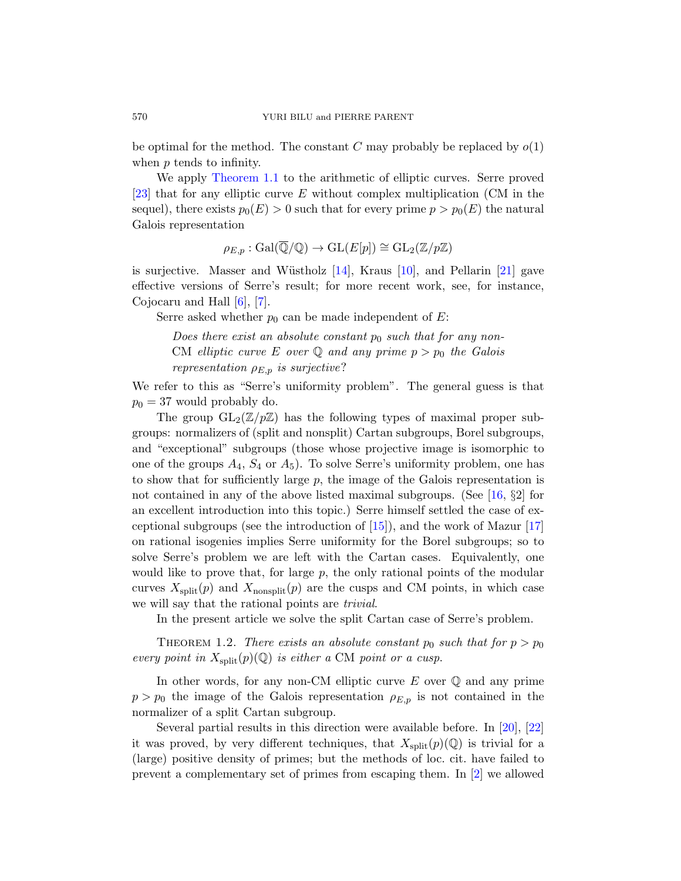be optimal for the method. The constant C may probably be replaced by  $o(1)$ when p tends to infinity.

We apply [Theorem 1.1](#page-0-0) to the arithmetic of elliptic curves. Serre proved [\[23\]](#page-15-0) that for any elliptic curve E without complex multiplication (CM in the sequel), there exists  $p_0(E) > 0$  such that for every prime  $p > p_0(E)$  the natural Galois representation

$$
\rho_{E,p}: \text{Gal}(\overline{\mathbb{Q}}/\mathbb{Q}) \to \text{GL}(E[p]) \cong \text{GL}_2(\mathbb{Z}/p\mathbb{Z})
$$

is surjective. Masser and Wüstholz  $[14]$ , Kraus  $[10]$ , and Pellarin  $[21]$  gave effective versions of Serre's result; for more recent work, see, for instance, Cojocaru and Hall [\[6\]](#page-14-1), [\[7\]](#page-14-2).

Serre asked whether  $p_0$  can be made independent of E:

Does there exist an absolute constant  $p_0$  such that for any non-CM elliptic curve E over Q and any prime  $p > p_0$  the Galois representation  $\rho_{E,p}$  is surjective?

We refer to this as "Serre's uniformity problem". The general guess is that  $p_0 = 37$  would probably do.

The group  $GL_2(\mathbb{Z}/p\mathbb{Z})$  has the following types of maximal proper subgroups: normalizers of (split and nonsplit) Cartan subgroups, Borel subgroups, and "exceptional" subgroups (those whose projective image is isomorphic to one of the groups  $A_4$ ,  $S_4$  or  $A_5$ ). To solve Serre's uniformity problem, one has to show that for sufficiently large  $p$ , the image of the Galois representation is not contained in any of the above listed maximal subgroups. (See [\[16,](#page-15-3) §2] for an excellent introduction into this topic.) Serre himself settled the case of exceptional subgroups (see the introduction of  $[15]$ ), and the work of Mazur  $[17]$ on rational isogenies implies Serre uniformity for the Borel subgroups; so to solve Serre's problem we are left with the Cartan cases. Equivalently, one would like to prove that, for large  $p$ , the only rational points of the modular curves  $X_{split}(p)$  and  $X_{nonsplit}(p)$  are the cusps and CM points, in which case we will say that the rational points are *trivial*.

In the present article we solve the split Cartan case of Serre's problem.

<span id="page-1-0"></span>THEOREM 1.2. There exists an absolute constant  $p_0$  such that for  $p > p_0$ every point in  $X_{split}(p)(\mathbb{Q})$  is either a CM point or a cusp.

In other words, for any non-CM elliptic curve  $E$  over  $\mathbb Q$  and any prime  $p > p_0$  the image of the Galois representation  $\rho_{E,p}$  is not contained in the normalizer of a split Cartan subgroup.

Several partial results in this direction were available before. In [\[20\]](#page-15-6), [\[22\]](#page-15-7) it was proved, by very different techniques, that  $X_{split}(p)(\mathbb{Q})$  is trivial for a (large) positive density of primes; but the methods of loc. cit. have failed to prevent a complementary set of primes from escaping them. In [\[2\]](#page-14-3) we allowed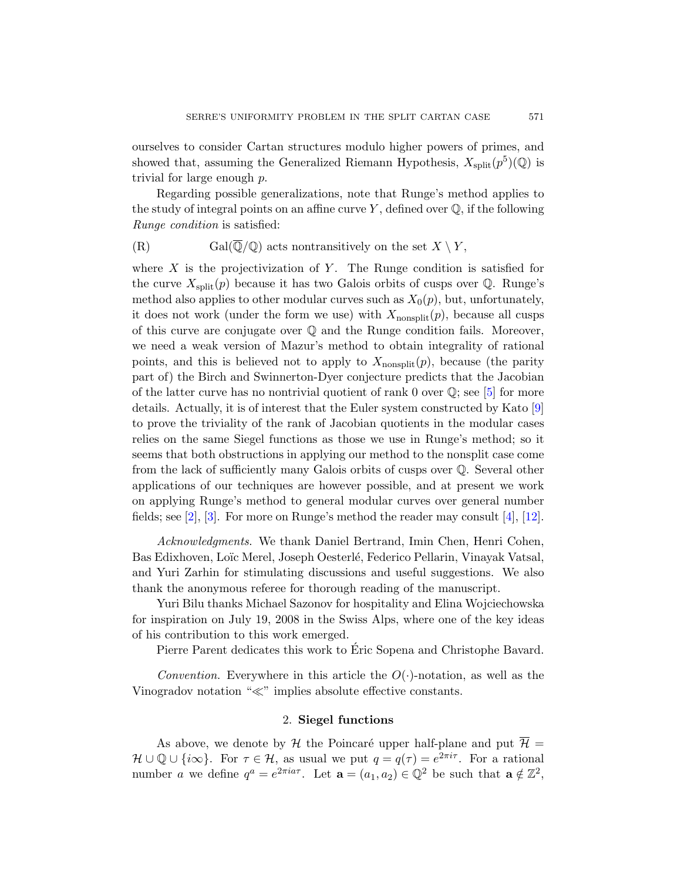ourselves to consider Cartan structures modulo higher powers of primes, and showed that, assuming the Generalized Riemann Hypothesis,  $X_{split}(p^5)(\mathbb{Q})$  is trivial for large enough p.

Regarding possible generalizations, note that Runge's method applies to the study of integral points on an affine curve  $Y$ , defined over  $\mathbb{Q}$ , if the following Runge condition is satisfied:

(R) Gal( $\overline{\mathbb{Q}}/\mathbb{Q}$ ) acts nontransitively on the set  $X \setminus Y$ ,

where X is the projectivization of Y. The Runge condition is satisfied for the curve  $X_{split}(p)$  because it has two Galois orbits of cusps over  $\mathbb{Q}$ . Runge's method also applies to other modular curves such as  $X_0(p)$ , but, unfortunately, it does not work (under the form we use) with  $X_{\text{nonsplit}}(p)$ , because all cusps of this curve are conjugate over Q and the Runge condition fails. Moreover, we need a weak version of Mazur's method to obtain integrality of rational points, and this is believed not to apply to  $X_{\text{nonsplit}}(p)$ , because (the parity part of) the Birch and Swinnerton-Dyer conjecture predicts that the Jacobian of the latter curve has no nontrivial quotient of rank 0 over  $\mathbb{Q}$ ; see [\[5\]](#page-14-4) for more details. Actually, it is of interest that the Euler system constructed by Kato [\[9\]](#page-14-5) to prove the triviality of the rank of Jacobian quotients in the modular cases relies on the same Siegel functions as those we use in Runge's method; so it seems that both obstructions in applying our method to the nonsplit case come from the lack of sufficiently many Galois orbits of cusps over Q. Several other applications of our techniques are however possible, and at present we work on applying Runge's method to general modular curves over general number fields; see [\[2\]](#page-14-3), [\[3\]](#page-14-6). For more on Runge's method the reader may consult [\[4\]](#page-14-7), [\[12\]](#page-15-8).

Acknowledgments. We thank Daniel Bertrand, Imin Chen, Henri Cohen, Bas Edixhoven, Loïc Merel, Joseph Oesterlé, Federico Pellarin, Vinayak Vatsal, and Yuri Zarhin for stimulating discussions and useful suggestions. We also thank the anonymous referee for thorough reading of the manuscript.

Yuri Bilu thanks Michael Sazonov for hospitality and Elina Wojciechowska for inspiration on July 19, 2008 in the Swiss Alps, where one of the key ideas of his contribution to this work emerged.

Pierre Parent dedicates this work to Eric Sopena and Christophe Bavard. ´

*Convention.* Everywhere in this article the  $O(\cdot)$ -notation, as well as the Vinogradov notation " $\ll$ " implies absolute effective constants.

## 2. Siegel functions

<span id="page-2-0"></span>As above, we denote by H the Poincaré upper half-plane and put  $\overline{\mathcal{H}}$  =  $\mathcal{H} \cup \mathbb{Q} \cup \{i\infty\}$ . For  $\tau \in \mathcal{H}$ , as usual we put  $q = q(\tau) = e^{2\pi i \tau}$ . For a rational number a we define  $q^a = e^{2\pi i a \tau}$ . Let  $\mathbf{a} = (a_1, a_2) \in \mathbb{Q}^2$  be such that  $\mathbf{a} \notin \mathbb{Z}^2$ ,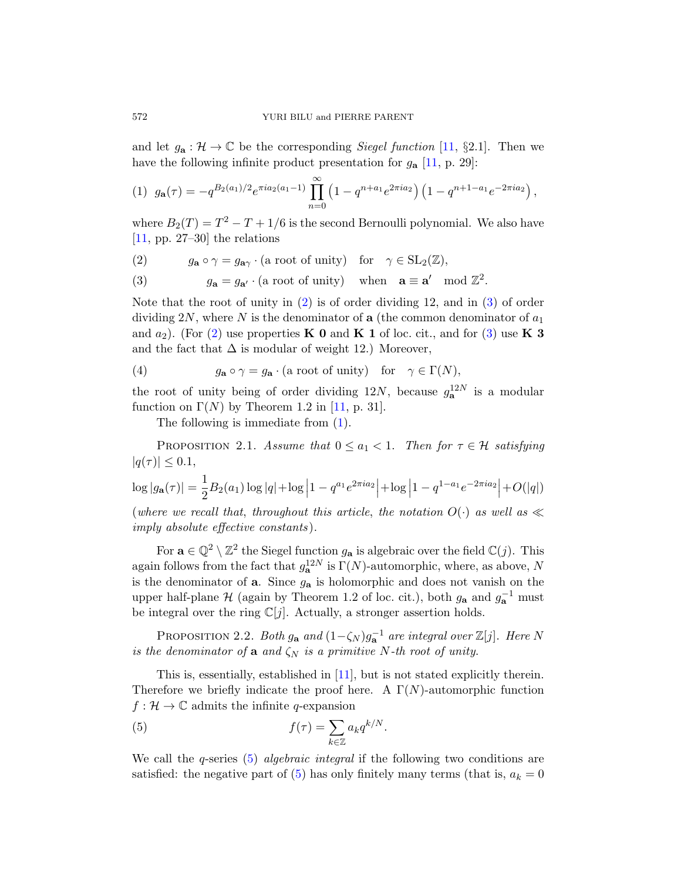and let  $g_{\mathbf{a}} : \mathcal{H} \to \mathbb{C}$  be the corresponding *Siegel function* [\[11,](#page-15-9) §2.1]. Then we have the following infinite product presentation for  $g_{\mathbf{a}}$  [\[11,](#page-15-9) p. 29]:

<span id="page-3-2"></span>
$$
(1) \ \ g_{\mathbf{a}}(\tau) = -q^{B_2(a_1)/2} e^{\pi i a_2(a_1-1)} \prod_{n=0}^{\infty} \left(1 - q^{n+a_1} e^{2\pi i a_2}\right) \left(1 - q^{n+1-a_1} e^{-2\pi i a_2}\right),
$$

where  $B_2(T) = T^2 - T + 1/6$  is the second Bernoulli polynomial. We also have  $[11, pp. 27-30]$  $[11, pp. 27-30]$  the relations

<span id="page-3-0"></span>(2) 
$$
g_{\mathbf{a}} \circ \gamma = g_{\mathbf{a}\gamma} \cdot (\text{a root of unity}) \quad \text{for} \quad \gamma \in SL_2(\mathbb{Z}),
$$

<span id="page-3-1"></span>(3)  $g_{\mathbf{a}} = g_{\mathbf{a}'} \cdot (\text{a root of unity}) \text{ when } \mathbf{a} \equiv \mathbf{a'} \mod \mathbb{Z}^2.$ 

Note that the root of unity in [\(2\)](#page-3-0) is of order dividing 12, and in [\(3\)](#page-3-1) of order dividing 2N, where N is the denominator of a (the common denominator of  $a_1$ ) and  $a_2$ ). (For [\(2\)](#page-3-0) use properties **K** 0 and **K** 1 of loc. cit., and for [\(3\)](#page-3-1) use **K** 3 and the fact that  $\Delta$  is modular of weight 12.) Moreover,

(4) 
$$
g_{\mathbf{a}} \circ \gamma = g_{\mathbf{a}} \cdot (\text{a root of unity}) \text{ for } \gamma \in \Gamma(N),
$$

the root of unity being of order dividing 12N, because  $g_{\mathbf{a}}^{12N}$  is a modular function on  $\Gamma(N)$  by Theorem 1.2 in [\[11,](#page-15-9) p. 31].

The following is immediate from [\(1\)](#page-3-2).

<span id="page-3-5"></span>PROPOSITION 2.1. Assume that  $0 \le a_1 < 1$ . Then for  $\tau \in \mathcal{H}$  satisfying  $|q(\tau)| \leq 0.1$ ,

$$
\log|g_{\mathbf{a}}(\tau)| = \frac{1}{2}B_2(a_1)\log|q| + \log|1 - q^{a_1}e^{2\pi i a_2}| + \log|1 - q^{1 - a_1}e^{-2\pi i a_2}| + O(|q|)
$$

(where we recall that, throughout this article, the notation  $O(\cdot)$  as well as  $\ll$ imply absolute effective constants ).

For  $\mathbf{a} \in \mathbb{Q}^2 \setminus \mathbb{Z}^2$  the Siegel function  $g_{\mathbf{a}}$  is algebraic over the field  $\mathbb{C}(j)$ . This again follows from the fact that  $g_{\mathbf{a}}^{12N}$  is  $\Gamma(N)$ -automorphic, where, as above, N is the denominator of  $a$ . Since  $g_a$  is holomorphic and does not vanish on the upper half-plane  $\mathcal H$  (again by Theorem 1.2 of loc. cit.), both  $g_{\mathbf a}$  and  $g_{\mathbf a}^{-1}$  must be integral over the ring  $\mathbb{C}[j]$ . Actually, a stronger assertion holds.

<span id="page-3-4"></span>PROPOSITION 2.2. Both  $g_{\mathbf{a}}$  and  $(1-\zeta_N)g_{\mathbf{a}}^{-1}$  are integral over  $\mathbb{Z}[j]$ . Here N is the denominator of a and  $\zeta_N$  is a primitive N-th root of unity.

This is, essentially, established in [\[11\]](#page-15-9), but is not stated explicitly therein. Therefore we briefly indicate the proof here. A  $\Gamma(N)$ -automorphic function  $f: \mathcal{H} \to \mathbb{C}$  admits the infinite q-expansion

<span id="page-3-3"></span>(5) 
$$
f(\tau) = \sum_{k \in \mathbb{Z}} a_k q^{k/N}.
$$

We call the q-series  $(5)$  algebraic integral if the following two conditions are satisfied: the negative part of [\(5\)](#page-3-3) has only finitely many terms (that is,  $a_k = 0$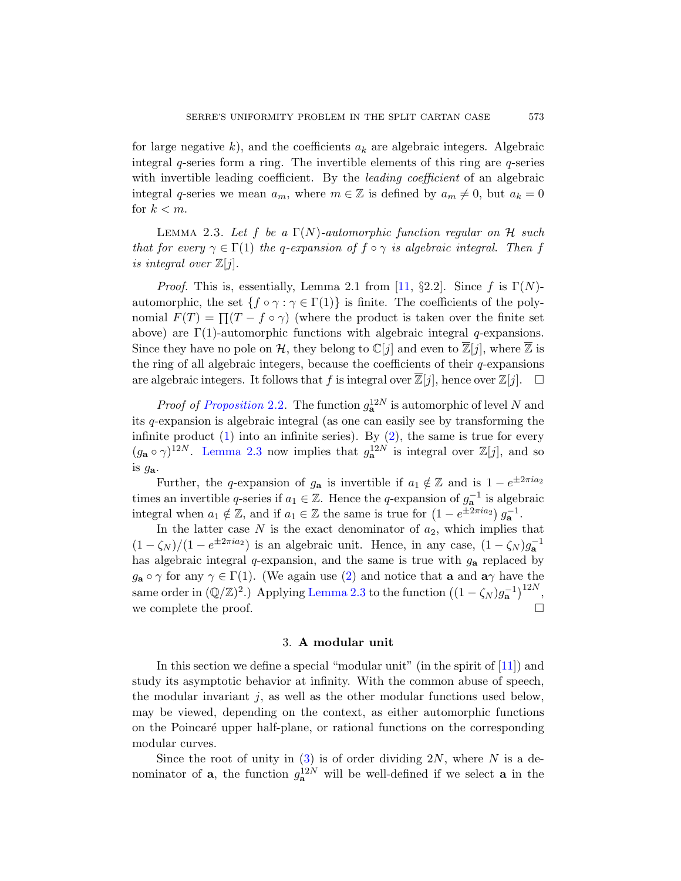for large negative k), and the coefficients  $a_k$  are algebraic integers. Algebraic integral  $q$ -series form a ring. The invertible elements of this ring are  $q$ -series with invertible leading coefficient. By the *leading coefficient* of an algebraic integral q-series we mean  $a_m$ , where  $m \in \mathbb{Z}$  is defined by  $a_m \neq 0$ , but  $a_k = 0$ for  $k < m$ .

<span id="page-4-1"></span>LEMMA 2.3. Let f be a  $\Gamma(N)$ -automorphic function regular on H such that for every  $\gamma \in \Gamma(1)$  the q-expansion of  $f \circ \gamma$  is algebraic integral. Then f is integral over  $\mathbb{Z}[j]$ .

*Proof.* This is, essentially, Lemma 2.1 from [\[11,](#page-15-9) §2.2]. Since f is  $\Gamma(N)$ automorphic, the set  $\{f \circ \gamma : \gamma \in \Gamma(1)\}$  is finite. The coefficients of the polynomial  $F(T) = \prod (T - f \circ \gamma)$  (where the product is taken over the finite set above) are  $\Gamma(1)$ -automorphic functions with algebraic integral q-expansions. Since they have no pole on H, they belong to  $\mathbb{C}[j]$  and even to  $\mathbb{Z}[j]$ , where  $\mathbb{Z}$  is the ring of all algebraic integers, because the coefficients of their  $q$ -expansions are algebraic integers. It follows that f is integral over  $\overline{\mathbb{Z}}[j]$ , hence over  $\mathbb{Z}[j]$ .  $\Box$ 

*Proof of [Proposition](#page-3-4)* 2.2. The function  $g_{\mathbf{a}}^{12N}$  is automorphic of level N and its q-expansion is algebraic integral (as one can easily see by transforming the infinite product  $(1)$  into an infinite series). By  $(2)$ , the same is true for every  $(g_{\mathbf{a}} \circ \gamma)^{12N}$ . [Lemma 2.3](#page-4-1) now implies that  $g_{\mathbf{a}}^{12N}$  is integral over  $\mathbb{Z}[j]$ , and so is ga.

Further, the q-expansion of  $g_{\mathbf{a}}$  is invertible if  $a_1 \notin \mathbb{Z}$  and is  $1 - e^{\pm 2\pi i a_2}$ times an invertible q-series if  $a_1 \in \mathbb{Z}$ . Hence the q-expansion of  $g_{\mathbf{a}}^{-1}$  is algebraic integral when  $a_1 \notin \mathbb{Z}$ , and if  $a_1 \in \mathbb{Z}$  the same is true for  $(1 - e^{\pm 2\pi i a_2}) g_{\mathbf{a}}^{-1}$ .

In the latter case  $N$  is the exact denominator of  $a_2$ , which implies that  $(1 - \zeta_N)/(1 - e^{\pm 2\pi i a_2})$  is an algebraic unit. Hence, in any case,  $(1 - \zeta_N)g_{\mathbf{a}}^{-1}$ has algebraic integral  $q$ -expansion, and the same is true with  $g_{a}$  replaced by  $g_{\mathbf{a}} \circ \gamma$  for any  $\gamma \in \Gamma(1)$ . (We again use [\(2\)](#page-3-0) and notice that **a** and  $\mathbf{a}\gamma$  have the same order in  $(\mathbb{Q}/\mathbb{Z})^2$ .) Applying [Lemma 2.3](#page-4-1) to the function  $((1 - \zeta_N)g_{\mathbf{a}}^{-1})^{12N}$ , we complete the proof.  $\Box$ 

#### 3. A modular unit

<span id="page-4-0"></span>In this section we define a special "modular unit" (in the spirit of [\[11\]](#page-15-9)) and study its asymptotic behavior at infinity. With the common abuse of speech, the modular invariant  $j$ , as well as the other modular functions used below, may be viewed, depending on the context, as either automorphic functions on the Poincaré upper half-plane, or rational functions on the corresponding modular curves.

Since the root of unity in  $(3)$  is of order dividing  $2N$ , where N is a denominator of **a**, the function  $g_{\mathbf{a}}^{12N}$  will be well-defined if we select **a** in the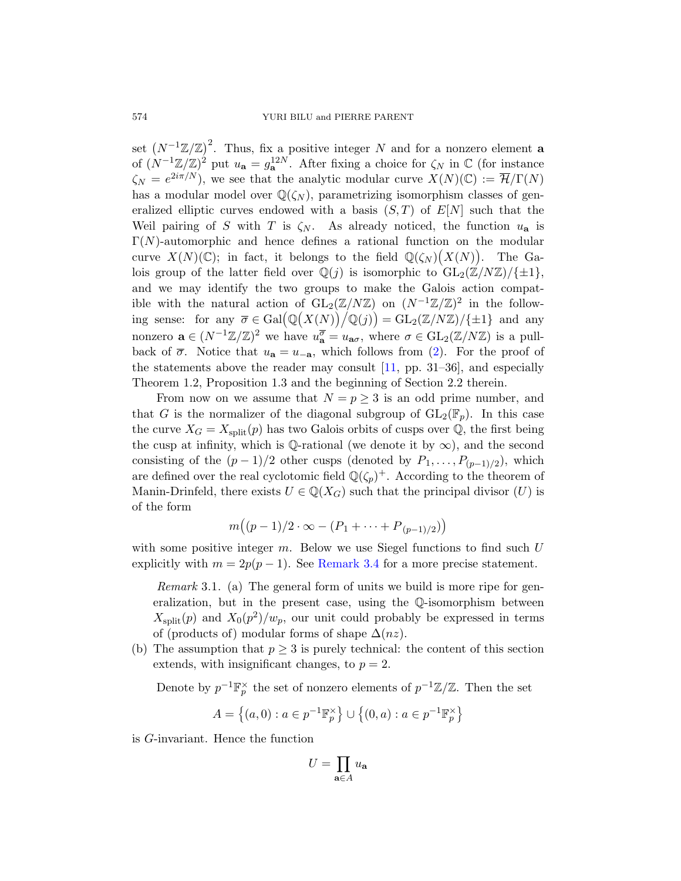set  $(N^{-1}\mathbb{Z}/\mathbb{Z})^2$ . Thus, fix a positive integer N and for a nonzero element **a** of  $(N^{-1}\mathbb{Z}/\mathbb{Z})^2$  put  $u_{\mathbf{a}} = g_{\mathbf{a}}^{12N}$ . After fixing a choice for  $\zeta_N$  in  $\mathbb{C}$  (for instance  $\zeta_N = e^{2i\pi/N}$ , we see that the analytic modular curve  $X(N)(\mathbb{C}) := \overline{\mathcal{H}}/\Gamma(N)$ has a modular model over  $\mathbb{Q}(\zeta_N)$ , parametrizing isomorphism classes of generalized elliptic curves endowed with a basis  $(S, T)$  of  $E[N]$  such that the Weil pairing of S with T is  $\zeta_N$ . As already noticed, the function  $u_a$  is  $\Gamma(N)$ -automorphic and hence defines a rational function on the modular curve  $X(N)(\mathbb{C})$ ; in fact, it belongs to the field  $\mathbb{Q}(\zeta_N)(X(N))$ . The Galois group of the latter field over  $\mathbb{Q}(j)$  is isomorphic to  $GL_2(\mathbb{Z}/N\mathbb{Z})/\{\pm 1\}$ , and we may identify the two groups to make the Galois action compatible with the natural action of  $GL_2(\mathbb{Z}/N\mathbb{Z})$  on  $(N^{-1}\mathbb{Z}/\mathbb{Z})^2$  in the following sense: for any  $\overline{\sigma} \in \text{Gal}(\mathbb{Q}(X(N))/\mathbb{Q}(j)) = \text{GL}_2(\mathbb{Z}/N\mathbb{Z})/\{\pm 1\}$  and any nonzero  $\mathbf{a} \in (N^{-1}\mathbb{Z}/\mathbb{Z})^2$  we have  $u_{\mathbf{a}}^{\overline{\sigma}} = u_{\mathbf{a}\sigma}$ , where  $\sigma \in GL_2(\mathbb{Z}/N\mathbb{Z})$  is a pullback of  $\bar{\sigma}$ . Notice that  $u_{a} = u_{-a}$ , which follows from [\(2\)](#page-3-0). For the proof of the statements above the reader may consult  $[11, pp. 31-36]$ , and especially Theorem 1.2, Proposition 1.3 and the beginning of Section 2.2 therein.

From now on we assume that  $N = p \geq 3$  is an odd prime number, and that G is the normalizer of the diagonal subgroup of  $GL_2(\mathbb{F}_p)$ . In this case the curve  $X_G = X_{split}(p)$  has two Galois orbits of cusps over Q, the first being the cusp at infinity, which is Q-rational (we denote it by  $\infty$ ), and the second consisting of the  $(p-1)/2$  other cusps (denoted by  $P_1, \ldots, P_{(p-1)/2}$ ), which are defined over the real cyclotomic field  $\mathbb{Q}(\zeta_p)^+$ . According to the theorem of Manin-Drinfeld, there exists  $U \in \mathbb{Q}(X_G)$  such that the principal divisor  $(U)$  is of the form

$$
m((p-1)/2 \cdot \infty - (P_1 + \dots + P_{(p-1)/2}))
$$

with some positive integer  $m$ . Below we use Siegel functions to find such  $U$ explicitly with  $m = 2p(p-1)$ . See [Remark 3.4](#page-6-0) for a more precise statement.

Remark 3.1. (a) The general form of units we build is more ripe for generalization, but in the present case, using the Q-isomorphism between  $X_{split}(p)$  and  $X_0(p^2)/w_p$ , our unit could probably be expressed in terms of (products of) modular forms of shape  $\Delta(nz)$ .

(b) The assumption that  $p \geq 3$  is purely technical: the content of this section extends, with insignificant changes, to  $p = 2$ .

Denote by  $p^{-1}\mathbb{F}_p^{\times}$  the set of nonzero elements of  $p^{-1}\mathbb{Z}/\mathbb{Z}$ . Then the set

$$
A = \left\{ (a,0) : a \in p^{-1} \mathbb{F}_p^{\times} \right\} \cup \left\{ (0,a) : a \in p^{-1} \mathbb{F}_p^{\times} \right\}
$$

is G-invariant. Hence the function

$$
U = \prod_{\mathbf{a} \in A} u_{\mathbf{a}}
$$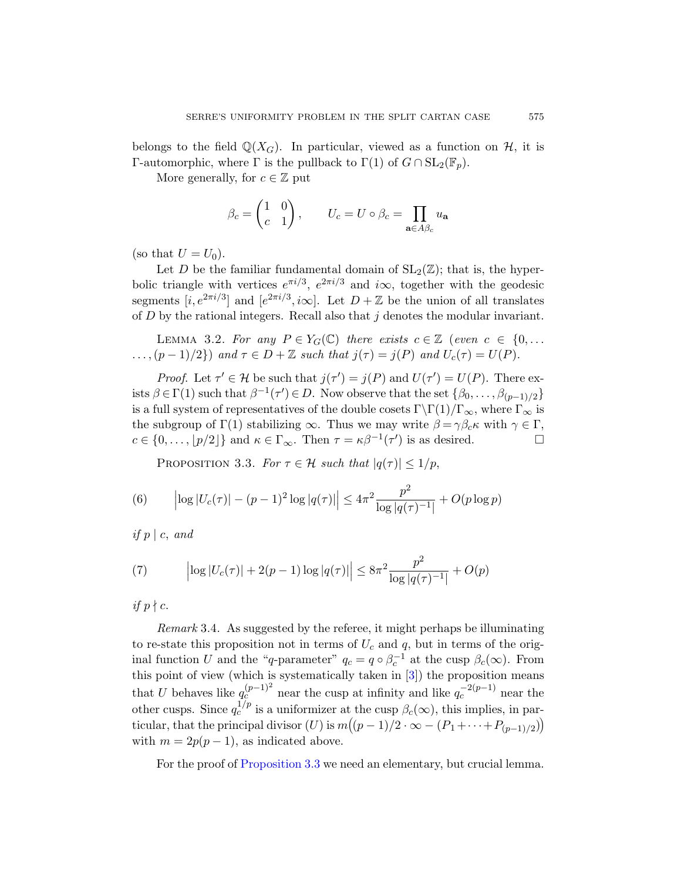belongs to the field  $\mathbb{Q}(X_G)$ . In particular, viewed as a function on H, it is Γ-automorphic, where Γ is the pullback to  $\Gamma(1)$  of  $G \cap SL_2(\mathbb{F}_p)$ .

More generally, for  $c \in \mathbb{Z}$  put

$$
\beta_c = \begin{pmatrix} 1 & 0 \\ c & 1 \end{pmatrix}, \qquad U_c = U \circ \beta_c = \prod_{\mathbf{a} \in A\beta_c} u_\mathbf{a}
$$

(so that  $U = U_0$ ).

Let D be the familiar fundamental domain of  $SL_2(\mathbb{Z})$ ; that is, the hyperbolic triangle with vertices  $e^{\pi i/3}$ ,  $e^{2\pi i/3}$  and  $i\infty$ , together with the geodesic segments  $[i, e^{2\pi i/3}]$  and  $[e^{2\pi i/3}, i\infty]$ . Let  $D + \mathbb{Z}$  be the union of all translates of  $D$  by the rational integers. Recall also that  $j$  denotes the modular invariant.

<span id="page-6-3"></span>LEMMA 3.2. For any  $P \in Y_G(\mathbb{C})$  there exists  $c \in \mathbb{Z}$  (even  $c \in \{0, \ldots\}$  $\ldots$ ,  $(p-1)/2$  and  $\tau \in D + \mathbb{Z}$  such that  $j(\tau) = j(P)$  and  $U_c(\tau) = U(P)$ .

*Proof.* Let  $\tau' \in \mathcal{H}$  be such that  $j(\tau') = j(P)$  and  $U(\tau') = U(P)$ . There exists  $\beta \in \Gamma(1)$  such that  $\beta^{-1}(\tau') \in D$ . Now observe that the set  $\{\beta_0, \ldots, \beta_{(p-1)/2}\}\$ is a full system of representatives of the double cosets  $\Gamma\backslash\Gamma(1)/\Gamma_{\infty}$ , where  $\Gamma_{\infty}^{(1)}$  is the subgroup of  $\Gamma(1)$  stabilizing  $\infty$ . Thus we may write  $\beta = \gamma \beta_c \kappa$  with  $\gamma \in \Gamma$ ,  $c \in \{0, \ldots, \lfloor p/2 \rfloor\}$  and  $\kappa \in \Gamma_{\infty}$ . Then  $\tau = \kappa \beta^{-1}(\tau')$  is as desired.

<span id="page-6-2"></span><span id="page-6-1"></span>PROPOSITION 3.3. For  $\tau \in \mathcal{H}$  such that  $|q(\tau)| \leq 1/p$ ,

(6) 
$$
\left| \log |U_c(\tau)| - (p-1)^2 \log |q(\tau)| \right| \le 4\pi^2 \frac{p^2}{\log |q(\tau)^{-1}|} + O(p \log p)
$$

if  $p \mid c$ , and

(7) 
$$
\left| \log |U_c(\tau)| + 2(p-1) \log |q(\tau)| \right| \leq 8\pi^2 \frac{p^2}{\log |q(\tau)^{-1}|} + O(p)
$$

if  $p \nmid c$ .

<span id="page-6-0"></span>Remark 3.4. As suggested by the referee, it might perhaps be illuminating to re-state this proposition not in terms of  $U_c$  and q, but in terms of the original function U and the "q-parameter"  $q_c = q \circ \beta_c^{-1}$  at the cusp  $\beta_c(\infty)$ . From this point of view (which is systematically taken in [\[3\]](#page-14-6)) the proposition means that U behaves like  $q_c^{(p-1)^2}$  near the cusp at infinity and like  $q_c^{-2(p-1)}$  near the other cusps. Since  $q_c^{1/p}$  is a uniformizer at the cusp  $\beta_c(\infty)$ , this implies, in particular, that the principal divisor  $(U)$  is  $m((p-1)/2 \cdot \infty - (P_1 + \cdots + P_{(p-1)/2}))$ with  $m = 2p(p-1)$ , as indicated above.

For the proof of [Proposition 3.3](#page-6-1) we need an elementary, but crucial lemma.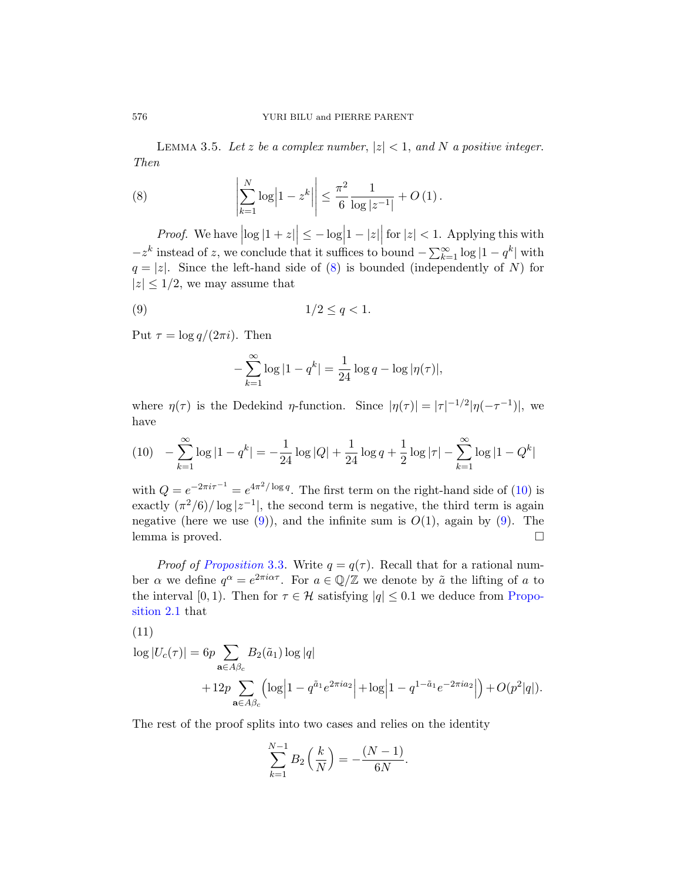<span id="page-7-3"></span>LEMMA 3.5. Let z be a complex number,  $|z| < 1$ , and N a positive integer. Then

<span id="page-7-0"></span>(8) 
$$
\left| \sum_{k=1}^{N} \log \left| 1 - z^k \right| \right| \leq \frac{\pi^2}{6} \frac{1}{\log |z^{-1}|} + O\left(1\right).
$$

*Proof.* We have  $\left|\log|1+z|\right| \leq -\log\left|1-|z|\right|$  for  $|z| < 1$ . Applying this with  $-z^k$  instead of z, we conclude that it suffices to bound  $-\sum_{k=1}^{\infty} \log |1-q^k|$  with  $q = |z|$ . Since the left-hand side of [\(8\)](#page-7-0) is bounded (independently of N) for  $|z| \leq 1/2$ , we may assume that

$$
(9) \t\t\t\t\t\t1/2 \le q < 1.
$$

Put  $\tau = \log q/(2\pi i)$ . Then

<span id="page-7-2"></span>
$$
-\sum_{k=1}^{\infty} \log|1 - q^k| = \frac{1}{24} \log q - \log |\eta(\tau)|,
$$

where  $\eta(\tau)$  is the Dedekind  $\eta$ -function. Since  $|\eta(\tau)| = |\tau|^{-1/2} |\eta(-\tau^{-1})|$ , we have

<span id="page-7-1"></span>
$$
(10)\quad -\sum_{k=1}^{\infty} \log|1-q^k| = -\frac{1}{24}\log|Q| + \frac{1}{24}\log q + \frac{1}{2}\log|\tau| - \sum_{k=1}^{\infty}\log|1-Q^k|
$$

with  $Q = e^{-2\pi i \tau^{-1}} = e^{4\pi^2/\log q}$ . The first term on the right-hand side of [\(10\)](#page-7-1) is exactly  $(\pi^2/6)/\log|z^{-1}|$ , the second term is negative, the third term is again negative (here we use  $(9)$ ), and the infinite sum is  $O(1)$ , again by  $(9)$ . The lemma is proved.

*Proof of [Proposition](#page-6-1)* 3.3. Write  $q = q(\tau)$ . Recall that for a rational number  $\alpha$  we define  $q^{\alpha} = e^{2\pi i \alpha \tau}$ . For  $a \in \mathbb{Q}/\mathbb{Z}$  we denote by  $\tilde{a}$  the lifting of a to the interval [0, 1]. Then for  $\tau \in \mathcal{H}$  satisfying  $|q| \leq 0.1$  we deduce from [Propo](#page-3-5)[sition 2.1](#page-3-5) that

$$
\log |U_c(\tau)| = 6p \sum_{\mathbf{a} \in A\beta_c} B_2(\tilde{a}_1) \log |q| + 12p \sum_{\mathbf{a} \in A\beta_c} \left( \log \left| 1 - q^{\tilde{a}_1} e^{2\pi i a_2} \right| + \log \left| 1 - q^{1 - \tilde{a}_1} e^{-2\pi i a_2} \right| \right) + O(p^2 |q|).
$$

The rest of the proof splits into two cases and relies on the identity

$$
\sum_{k=1}^{N-1} B_2\left(\frac{k}{N}\right) = -\frac{(N-1)}{6N}.
$$

<span id="page-7-4"></span> $(11)$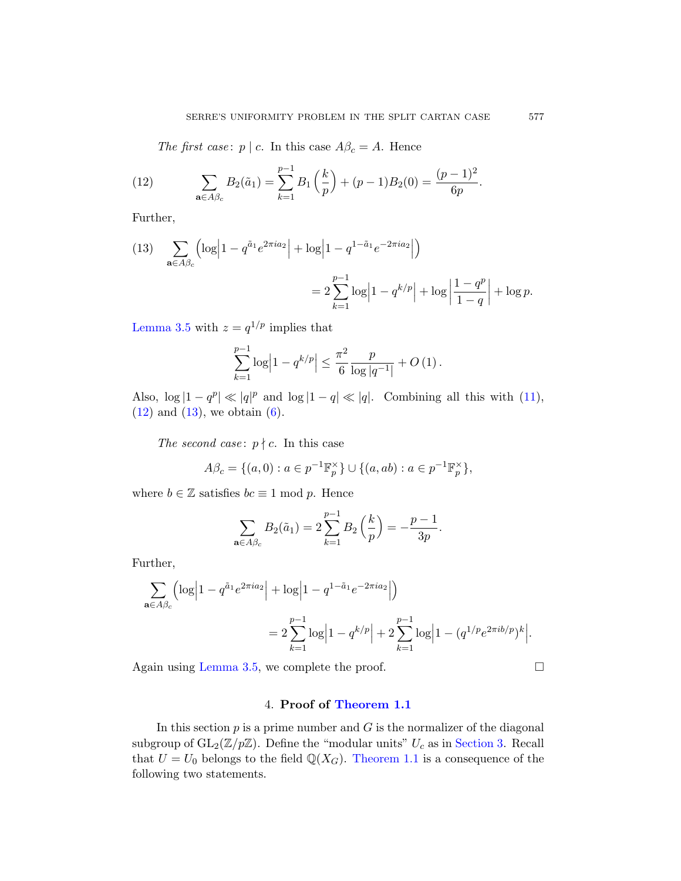<span id="page-8-1"></span>The first case:  $p \mid c$ . In this case  $A\beta_c = A$ . Hence

(12) 
$$
\sum_{\mathbf{a}\in A\beta_c} B_2(\tilde{a}_1) = \sum_{k=1}^{p-1} B_1\left(\frac{k}{p}\right) + (p-1)B_2(0) = \frac{(p-1)^2}{6p}.
$$

Further,

<span id="page-8-2"></span>(13) 
$$
\sum_{\mathbf{a}\in A\beta_c} \left( \log \left| 1 - q^{\tilde{a}_1} e^{2\pi i a_2} \right| + \log \left| 1 - q^{1-\tilde{a}_1} e^{-2\pi i a_2} \right| \right)
$$

$$
= 2 \sum_{k=1}^{p-1} \log \left| 1 - q^{k/p} \right| + \log \left| \frac{1 - q^p}{1 - q} \right| + \log p.
$$

[Lemma 3.5](#page-7-3) with  $z = q^{1/p}$  implies that

$$
\sum_{k=1}^{p-1} \log \left| 1 - q^{k/p} \right| \leq \frac{\pi^2}{6} \frac{p}{\log |q^{-1}|} + O\left(1\right).
$$

Also,  $\log |1 - q^p| \ll |q|^p$  and  $\log |1 - q| \ll |q|$ . Combining all this with [\(11\)](#page-7-4),  $(12)$  and  $(13)$ , we obtain  $(6)$ .

The second case:  $p \nmid c$ . In this case

$$
A\beta_c = \{(a, 0) : a \in p^{-1}\mathbb{F}_p^{\times}\} \cup \{(a, ab) : a \in p^{-1}\mathbb{F}_p^{\times}\},\
$$

where  $b \in \mathbb{Z}$  satisfies  $bc \equiv 1 \mod p$ . Hence

$$
\sum_{\mathbf{a}\in A\beta_c} B_2(\tilde{a}_1) = 2\sum_{k=1}^{p-1} B_2\left(\frac{k}{p}\right) = -\frac{p-1}{3p}.
$$

Further,

$$
\sum_{\mathbf{a}\in A\beta_c} \left( \log \left| 1 - q^{\tilde{a}_1} e^{2\pi i a_2} \right| + \log \left| 1 - q^{1 - \tilde{a}_1} e^{-2\pi i a_2} \right| \right)
$$
  
= 
$$
2 \sum_{k=1}^{p-1} \log \left| 1 - q^{k/p} \right| + 2 \sum_{k=1}^{p-1} \log \left| 1 - (q^{1/p} e^{2\pi i b/p})^k \right|.
$$

Again using [Lemma 3.5,](#page-7-3) we complete the proof.

# 4. Proof of [Theorem 1.1](#page-0-0)

<span id="page-8-0"></span>In this section  $p$  is a prime number and  $G$  is the normalizer of the diagonal subgroup of  $GL_2(\mathbb{Z}/p\mathbb{Z})$ . Define the "modular units"  $U_c$  as in [Section 3.](#page-4-0) Recall that  $U = U_0$  belongs to the field  $\mathbb{Q}(X_G)$ . [Theorem 1.1](#page-0-0) is a consequence of the following two statements.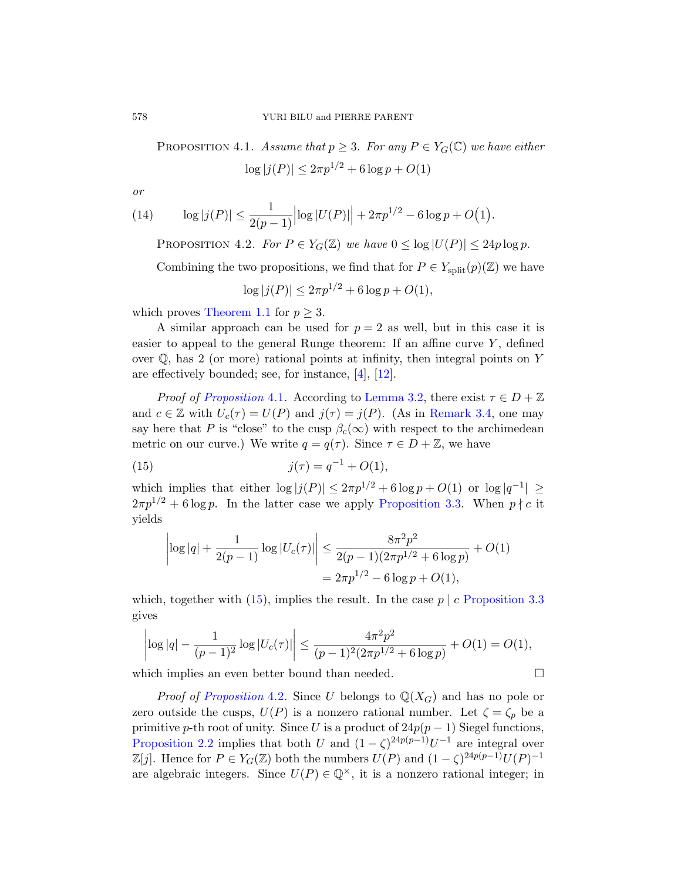<span id="page-9-0"></span>PROPOSITION 4.1. Assume that  $p \geq 3$ . For any  $P \in Y_G(\mathbb{C})$  we have either  $\log |j(P)| \leq 2\pi p^{1/2} + 6\log p + O(1)$ 

or

(14) 
$$
\log|j(P)| \leq \frac{1}{2(p-1)}\left|\log|U(P)|\right| + 2\pi p^{1/2} - 6\log p + O(1).
$$

<span id="page-9-2"></span>PROPOSITION 4.2. For  $P \in Y_G(\mathbb{Z})$  we have  $0 \leq \log |U(P)| \leq 24p \log p$ .

Combining the two propositions, we find that for  $P \in Y_{split}(p)(\mathbb{Z})$  we have

$$
\log|j(P)| \le 2\pi p^{1/2} + 6\log p + O(1),
$$

which proves [Theorem 1.1](#page-0-0) for  $p \geq 3$ .

A similar approach can be used for  $p = 2$  as well, but in this case it is easier to appeal to the general Runge theorem: If an affine curve  $Y$ , defined over Q, has 2 (or more) rational points at infinity, then integral points on Y are effectively bounded; see, for instance, [\[4\]](#page-14-7), [\[12\]](#page-15-8).

*Proof of [Proposition](#page-9-0)* 4.1. According to [Lemma 3.2,](#page-6-3) there exist  $\tau \in D + \mathbb{Z}$ and  $c \in \mathbb{Z}$  with  $U_c(\tau) = U(P)$  and  $j(\tau) = j(P)$ . (As in [Remark 3.4,](#page-6-0) one may say here that P is "close" to the cusp  $\beta_c(\infty)$  with respect to the archimedean metric on our curve.) We write  $q = q(\tau)$ . Since  $\tau \in D + \mathbb{Z}$ , we have

(15) 
$$
j(\tau) = q^{-1} + O(1),
$$

which implies that either  $\log |j(P)| \leq 2\pi p^{1/2} + 6\log p + O(1)$  or  $\log |q^{-1}| \geq$  $2\pi p^{1/2} + 6\log p$ . In the latter case we apply [Proposition 3.3.](#page-6-1) When  $p \nmid c$  it yields

<span id="page-9-1"></span>
$$
\left| \log |q| + \frac{1}{2(p-1)} \log |U_c(\tau)| \right| \le \frac{8\pi^2 p^2}{2(p-1)(2\pi p^{1/2} + 6 \log p)} + O(1)
$$
  
=  $2\pi p^{1/2} - 6 \log p + O(1)$ ,

which, together with  $(15)$ , implies the result. In the case  $p \mid c$  [Proposition 3.3](#page-6-1) gives

$$
\left|\log|q| - \frac{1}{(p-1)^2}\log|U_c(\tau)|\right| \le \frac{4\pi^2p^2}{(p-1)^2(2\pi p^{1/2} + 6\log p)} + O(1) = O(1),
$$

which implies an even better bound than needed.

*Proof of [Proposition](#page-9-2)* 4.2. Since U belongs to  $\mathbb{Q}(X_G)$  and has no pole or zero outside the cusps,  $U(P)$  is a nonzero rational number. Let  $\zeta = \zeta_p$  be a primitive p-th root of unity. Since U is a product of  $24p(p-1)$  Siegel functions, [Proposition 2.2](#page-3-4) implies that both U and  $(1 - \zeta)^{24p(p-1)}U^{-1}$  are integral over  $\mathbb{Z}[j]$ . Hence for  $P \in Y_G(\mathbb{Z})$  both the numbers  $U(P)$  and  $(1 - \zeta)^{24p(p-1)}U(P)^{-1}$ are algebraic integers. Since  $U(P) \in \mathbb{Q}^{\times}$ , it is a nonzero rational integer; in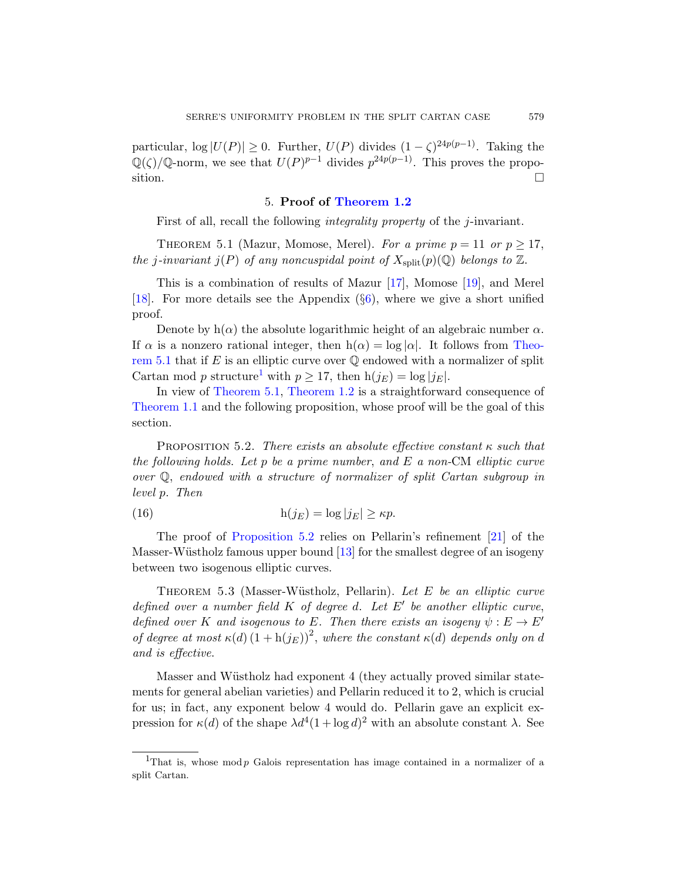particular,  $\log |U(P)| \geq 0$ . Further,  $U(P)$  divides  $(1 - \zeta)^{24p(p-1)}$ . Taking the  $\mathbb{Q}(\zeta)/\mathbb{Q}$ -norm, we see that  $U(P)^{p-1}$  divides  $p^{24p(p-1)}$ . This proves the proposition.  $\Box$ 

# 5. Proof of [Theorem 1.2](#page-1-0)

First of all, recall the following *integrality property* of the *j*-invariant.

<span id="page-10-0"></span>THEOREM 5.1 (Mazur, Momose, Merel). For a prime  $p = 11$  or  $p \ge 17$ , the j-invariant  $j(P)$  of any noncuspidal point of  $X_{split}(p)(\mathbb{Q})$  belongs to  $\mathbb{Z}$ .

This is a combination of results of Mazur [\[17\]](#page-15-5), Momose [\[19\]](#page-15-10), and Merel [\[18\]](#page-15-11). For more details see the Appendix  $(\S6)$  $(\S6)$ , where we give a short unified proof.

Denote by  $h(\alpha)$  the absolute logarithmic height of an algebraic number  $\alpha$ . If  $\alpha$  is a nonzero rational integer, then  $h(\alpha) = \log |\alpha|$ . It follows from [Theo](#page-10-0)[rem 5.1](#page-10-0) that if  $E$  is an elliptic curve over  $\mathbb Q$  endowed with a normalizer of split Cartan mod p structure<sup>[1](#page-10-1)</sup> with  $p > 17$ , then  $h(j_E) = \log |j_E|$ .

In view of [Theorem 5.1,](#page-10-0) [Theorem 1.2](#page-1-0) is a straightforward consequence of [Theorem 1.1](#page-0-0) and the following proposition, whose proof will be the goal of this section.

<span id="page-10-2"></span>PROPOSITION 5.2. There exists an absolute effective constant  $\kappa$  such that the following holds. Let p be a prime number, and  $E$  a non-CM elliptic curve over Q, endowed with a structure of normalizer of split Cartan subgroup in level p. Then

(16) 
$$
h(j_E) = \log |j_E| \ge \kappa p.
$$

The proof of [Proposition 5.2](#page-10-2) relies on Pellarin's refinement [\[21\]](#page-15-2) of the Masser-Wüstholz famous upper bound  $[13]$  for the smallest degree of an isogeny between two isogenous elliptic curves.

THEOREM  $5.3$  (Masser-Wüstholz, Pellarin). Let E be an elliptic curve defined over a number field  $K$  of degree d. Let  $E'$  be another elliptic curve, defined over K and isogenous to E. Then there exists an isogeny  $\psi : E \to E'$ of degree at most  $\kappa(d) (1 + h(j_E))^2$ , where the constant  $\kappa(d)$  depends only on d and is effective.

Masser and Wüstholz had exponent 4 (they actually proved similar statements for general abelian varieties) and Pellarin reduced it to 2, which is crucial for us; in fact, any exponent below 4 would do. Pellarin gave an explicit expression for  $\kappa(d)$  of the shape  $\lambda d^4(1 + \log d)^2$  with an absolute constant  $\lambda$ . See

<span id="page-10-1"></span><sup>&</sup>lt;sup>1</sup>That is, whose mod  $p$  Galois representation has image contained in a normalizer of a split Cartan.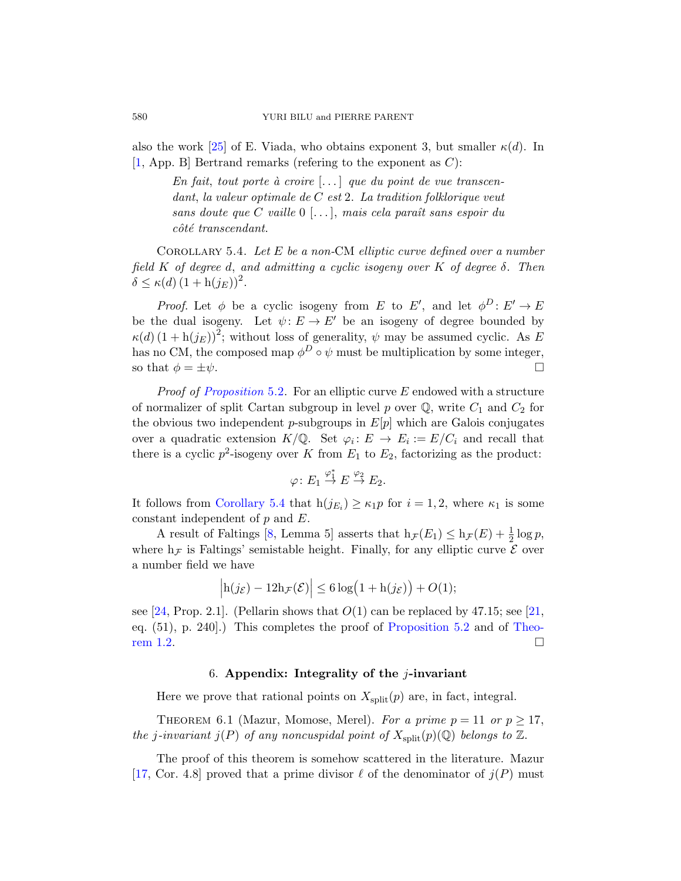also the work [\[25\]](#page-15-13) of E. Viada, who obtains exponent 3, but smaller  $\kappa(d)$ . In [\[1,](#page-14-8) App. B] Bertrand remarks (refering to the exponent as  $C$ ):

En fait, tout porte à croire  $[\dots]$  que du point de vue transcendant, la valeur optimale de C est 2. La tradition folklorique veut sans doute que C vaille  $0$  [...], mais cela paraît sans espoir du  $c\hat{o}t\hat{e}$  transcendant.

<span id="page-11-1"></span>COROLLARY 5.4. Let  $E$  be a non-CM elliptic curve defined over a number field K of degree d, and admitting a cyclic isogeny over K of degree  $\delta$ . Then  $\delta \leq \kappa(d) (1 + h(j_E))^2$ .

*Proof.* Let  $\phi$  be a cyclic isogeny from E to E', and let  $\phi^D: E' \to E$ be the dual isogeny. Let  $\psi: E \to E'$  be an isogeny of degree bounded by  $\kappa(d) (1 + h(j_E))^2$ ; without loss of generality,  $\psi$  may be assumed cyclic. As E has no CM, the composed map  $\phi^D \circ \psi$  must be multiplication by some integer, so that  $\phi = \pm \psi$ .

*Proof of [Proposition](#page-10-2)* 5.2. For an elliptic curve  $E$  endowed with a structure of normalizer of split Cartan subgroup in level p over  $\mathbb{Q}$ , write  $C_1$  and  $C_2$  for the obvious two independent p-subgroups in  $E[p]$  which are Galois conjugates over a quadratic extension  $K/\mathbb{Q}$ . Set  $\varphi_i : E \to E_i := E/C_i$  and recall that there is a cyclic  $p^2$ -isogeny over K from  $E_1$  to  $E_2$ , factorizing as the product:

$$
\varphi\colon E_1\stackrel{\varphi_1^*}{\to} E\stackrel{\varphi_2}{\to} E_2.
$$

It follows from [Corollary 5.4](#page-11-1) that  $h(j_{E_i}) \geq \kappa_1 p$  for  $i = 1, 2$ , where  $\kappa_1$  is some constant independent of p and E.

A result of Faltings [\[8,](#page-14-9) Lemma 5] asserts that  $h_{\mathcal{F}}(E_1) \leq h_{\mathcal{F}}(E) + \frac{1}{2} \log p$ , where  $h_{\mathcal{F}}$  is Faltings' semistable height. Finally, for any elliptic curve  $\mathcal E$  over a number field we have

$$
\left|\mathrm{h}(j_{\mathcal{E}})-12\mathrm{h}_{\mathcal{F}}(\mathcal{E})\right| \leq 6\log\left(1+\mathrm{h}(j_{\mathcal{E}})\right) + O(1);
$$

see [\[24,](#page-15-14) Prop. 2.1]. (Pellarin shows that  $O(1)$  can be replaced by 47.15; see [\[21,](#page-15-2) eq. (51), p. 240].) This completes the proof of [Proposition 5.2](#page-10-2) and of [Theo](#page-1-0)[rem 1.2.](#page-1-0)

# 6. Appendix: Integrality of the *j*-invariant

<span id="page-11-0"></span>Here we prove that rational points on  $X_{split}(p)$  are, in fact, integral.

<span id="page-11-2"></span>THEOREM 6.1 (Mazur, Momose, Merel). For a prime  $p = 11$  or  $p \ge 17$ , the j-invariant  $j(P)$  of any noncuspidal point of  $X_{split}(p)(\mathbb{Q})$  belongs to  $\mathbb{Z}$ .

The proof of this theorem is somehow scattered in the literature. Mazur [\[17,](#page-15-5) Cor. 4.8] proved that a prime divisor  $\ell$  of the denominator of  $j(P)$  must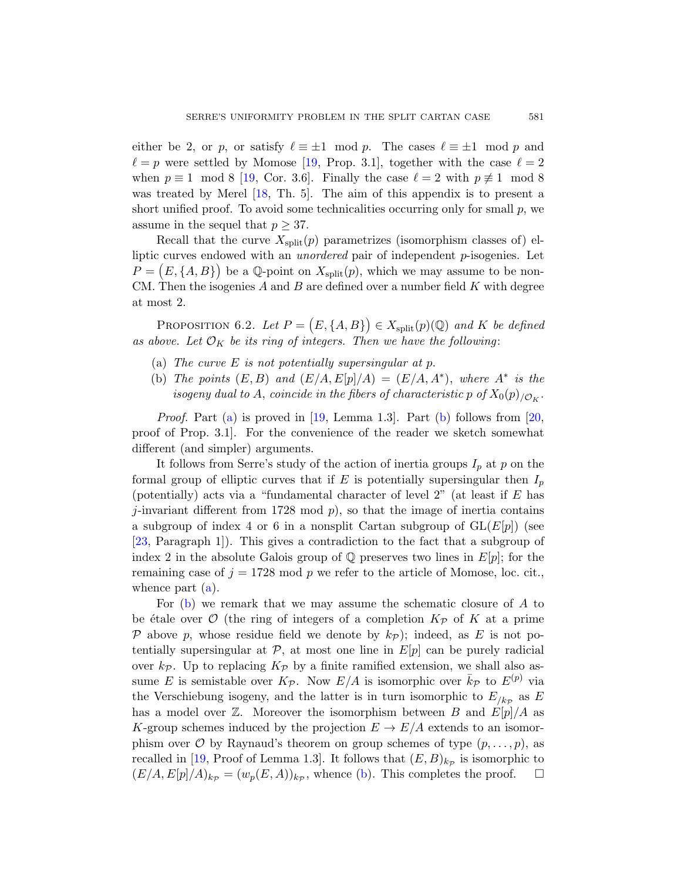either be 2, or p, or satisfy  $\ell \equiv \pm 1 \mod p$ . The cases  $\ell \equiv \pm 1 \mod p$  and  $\ell = p$  were settled by Momose [\[19,](#page-15-10) Prop. 3.1], together with the case  $\ell = 2$ when  $p \equiv 1 \mod 8$  [\[19,](#page-15-10) Cor. 3.6]. Finally the case  $\ell = 2$  with  $p \not\equiv 1 \mod 8$ was treated by Merel [\[18,](#page-15-11) Th. 5]. The aim of this appendix is to present a short unified proof. To avoid some technicalities occurring only for small  $p$ , we assume in the sequel that  $p \geq 37$ .

Recall that the curve  $X_{split}(p)$  parametrizes (isomorphism classes of) elliptic curves endowed with an unordered pair of independent p-isogenies. Let  $P = (E, \{A, B\})$  be a Q-point on  $X_{split}(p)$ , which we may assume to be non-CM. Then the isogenies  $A$  and  $B$  are defined over a number field  $K$  with degree at most 2.

<span id="page-12-2"></span>PROPOSITION 6.2. Let  $P = (E, \{A, B\}) \in X_{split}(p)(\mathbb{Q})$  and K be defined as above. Let  $\mathcal{O}_K$  be its ring of integers. Then we have the following:

- <span id="page-12-0"></span>(a) The curve  $E$  is not potentially supersingular at p.
- <span id="page-12-1"></span>(b) The points  $(E, B)$  and  $(E/A, E[p]/A) = (E/A, A^*)$ , where  $A^*$  is the isogeny dual to A, coincide in the fibers of characteristic p of  $X_0(p)_{/\mathcal{O}_K}.$

Proof. Part [\(a\)](#page-12-0) is proved in [\[19,](#page-15-10) Lemma 1.3]. Part [\(b\)](#page-12-1) follows from [\[20,](#page-15-6) proof of Prop. 3.1]. For the convenience of the reader we sketch somewhat different (and simpler) arguments.

It follows from Serre's study of the action of inertia groups  $I_p$  at p on the formal group of elliptic curves that if  $E$  is potentially supersingular then  $I_p$ (potentially) acts via a "fundamental character of level  $2$ " (at least if  $E$  has j-invariant different from 1728 mod  $p$ ), so that the image of inertia contains a subgroup of index 4 or 6 in a nonsplit Cartan subgroup of  $GL(E[p])$  (see [\[23,](#page-15-0) Paragraph 1]). This gives a contradiction to the fact that a subgroup of index 2 in the absolute Galois group of  $\mathbb Q$  preserves two lines in  $E[p]$ ; for the remaining case of  $j = 1728 \mod p$  we refer to the article of Momose, loc. cit., whence part  $(a)$ .

For [\(b\)](#page-12-1) we remark that we may assume the schematic closure of A to be étale over  $\mathcal O$  (the ring of integers of a completion  $K_{\mathcal P}$  of K at a prime P above p, whose residue field we denote by  $k_{\mathcal{P}}$ ); indeed, as E is not potentially supersingular at  $P$ , at most one line in  $E[p]$  can be purely radicial over  $k_p$ . Up to replacing  $K_p$  by a finite ramified extension, we shall also assume E is semistable over  $K_{\mathcal{P}}$ . Now  $E/A$  is isomorphic over  $\bar{k}_{\mathcal{P}}$  to  $E^{(p)}$  via the Verschiebung isogeny, and the latter is in turn isomorphic to  $E_{/k_{\mathcal{P}}}$  as E has a model over  $\mathbb{Z}$ . Moreover the isomorphism between B and  $E[p]/A$  as K-group schemes induced by the projection  $E \to E/A$  extends to an isomorphism over  $\mathcal O$  by Raynaud's theorem on group schemes of type  $(p, \ldots, p)$ , as recalled in [\[19,](#page-15-10) Proof of Lemma 1.3]. It follows that  $(E, B)_{k_{\mathcal{P}}}$  is isomorphic to  $(E/A, E[p]/A)_{k_{\mathcal{P}}} = (w_p(E, A))_{k_{\mathcal{P}}}$ , whence [\(b\)](#page-12-1). This completes the proof.  $\square$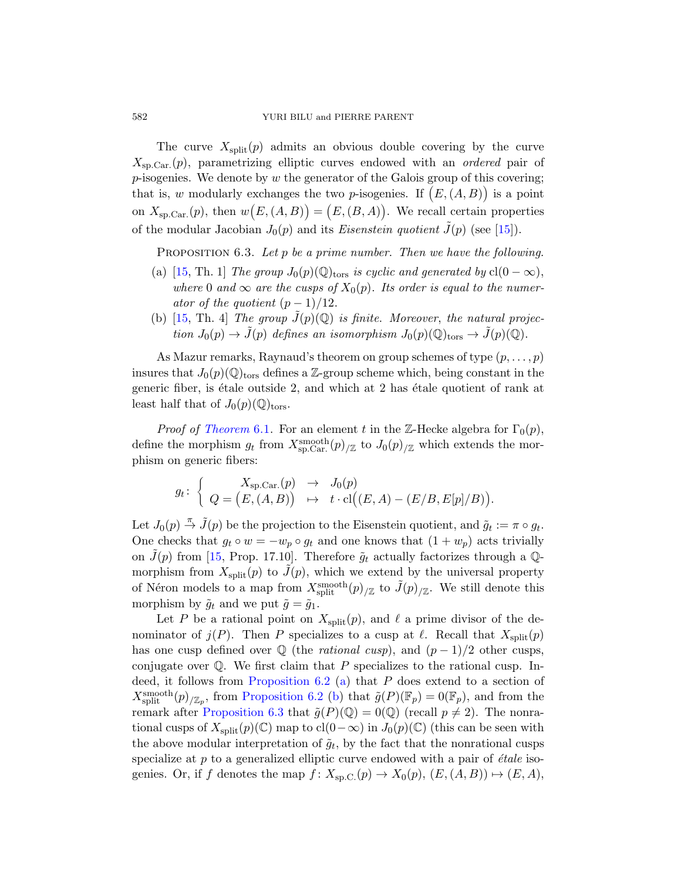The curve  $X_{split}(p)$  admits an obvious double covering by the curve  $X_{\rm SD, Car.}(p)$ , parametrizing elliptic curves endowed with an *ordered* pair of  $p$ -isogenies. We denote by  $w$  the generator of the Galois group of this covering; that is, w modularly exchanges the two p-isogenies. If  $(E, (A, B))$  is a point on  $X_{\rm sp.Car.}(p)$ , then  $w(E,(A,B)) = (E,(B,A))$ . We recall certain properties of the modular Jacobian  $J_0(p)$  and its *Eisenstein quotient*  $\tilde{J}(p)$  (see [\[15\]](#page-15-4)).

<span id="page-13-0"></span>PROPOSITION 6.3. Let p be a prime number. Then we have the following.

- (a) [\[15,](#page-15-4) Th. 1] The group  $J_0(p)(\mathbb{Q})_{\text{tors}}$  is cyclic and generated by  $cl(0 \infty)$ , where 0 and  $\infty$  are the cusps of  $X_0(p)$ . Its order is equal to the numerator of the quotient  $(p-1)/12$ .
- (b) [\[15,](#page-15-4) Th. 4] The group  $\tilde{J}(p)(\mathbb{Q})$  is finite. Moreover, the natural projection  $J_0(p) \to \tilde{J}(p)$  defines an isomorphism  $J_0(p)(\mathbb{Q})_{\text{tors}} \to \tilde{J}(p)(\mathbb{Q})$ .

As Mazur remarks, Raynaud's theorem on group schemes of type  $(p, \ldots, p)$ insures that  $J_0(p)(\mathbb{Q})_{\text{tors}}$  defines a Z-group scheme which, being constant in the generic fiber, is étale outside 2, and which at  $2$  has étale quotient of rank at least half that of  $J_0(p)(\mathbb{Q})_{\text{tors}}$ .

*Proof of [Theorem](#page-11-2)* 6.1. For an element t in the Z-Hecke algebra for  $\Gamma_0(p)$ , define the morphism  $g_t$  from  $X_{\text{sp.Car.}}^{\text{smooth}}(p)_{\text{lZ}}$  to  $J_0(p)_{\text{lZ}}$  which extends the morphism on generic fibers:

$$
g_t\colon \left\{\begin{array}{ccc} X_{\rm sp.Car.}(p) & \to & J_0(p) \\ Q = \left(E, (A,B)\right) & \mapsto & t\cdot \mathrm{cl}\big((E,A)-(E/B,E[p]/B)\big).\end{array}\right.
$$

Let  $J_0(p) \stackrel{\pi}{\rightarrow} \tilde{J}(p)$  be the projection to the Eisenstein quotient, and  $\tilde{g}_t := \pi \circ g_t$ . One checks that  $g_t \circ w = -w_p \circ g_t$  and one knows that  $(1 + w_p)$  acts trivially on  $\tilde{J}(p)$  from [\[15,](#page-15-4) Prop. 17.10]. Therefore  $\tilde{q}_t$  actually factorizes through a Qmorphism from  $X_{split}(p)$  to  $\tilde{J}(p)$ , which we extend by the universal property of Néron models to a map from  $X_{\text{split}}^{\text{smooth}}(p)_{/\mathbb{Z}}$  to  $\tilde{J}(p)_{/\mathbb{Z}}$ . We still denote this morphism by  $\tilde{q}_t$  and we put  $\tilde{g} = \tilde{g}_1$ .

Let P be a rational point on  $X_{split}(p)$ , and  $\ell$  a prime divisor of the denominator of  $j(P)$ . Then P specializes to a cusp at  $\ell$ . Recall that  $X_{split}(p)$ has one cusp defined over  $\mathbb Q$  (the *rational cusp*), and  $(p-1)/2$  other cusps, conjugate over  $\mathbb{Q}$ . We first claim that P specializes to the rational cusp. Indeed, it follows from Proposition  $6.2$  [\(a\)](#page-12-0) that  $P$  does extend to a section of  $X_{\text{split}}^{\text{smooth}}(p)_{/\mathbb{Z}_p}$ , from [Proposition 6.2](#page-12-2) [\(b\)](#page-12-1) that  $\tilde{g}(P)(\mathbb{F}_p) = 0(\mathbb{F}_p)$ , and from the remark after [Proposition 6.3](#page-13-0) that  $\tilde{g}(P)(\mathbb{Q}) = 0(\mathbb{Q})$  (recall  $p \neq 2$ ). The nonrational cusps of  $X_{split}(p)(\mathbb{C})$  map to  $\text{cl}(0-\infty)$  in  $J_0(p)(\mathbb{C})$  (this can be seen with the above modular interpretation of  $\tilde{g}_t$ , by the fact that the nonrational cusps specialize at  $p$  to a generalized elliptic curve endowed with a pair of  $\acute{e}tale$  isogenies. Or, if f denotes the map  $f: X_{\text{sp.C.}}(p) \to X_0(p)$ ,  $(E, (A, B)) \mapsto (E, A)$ ,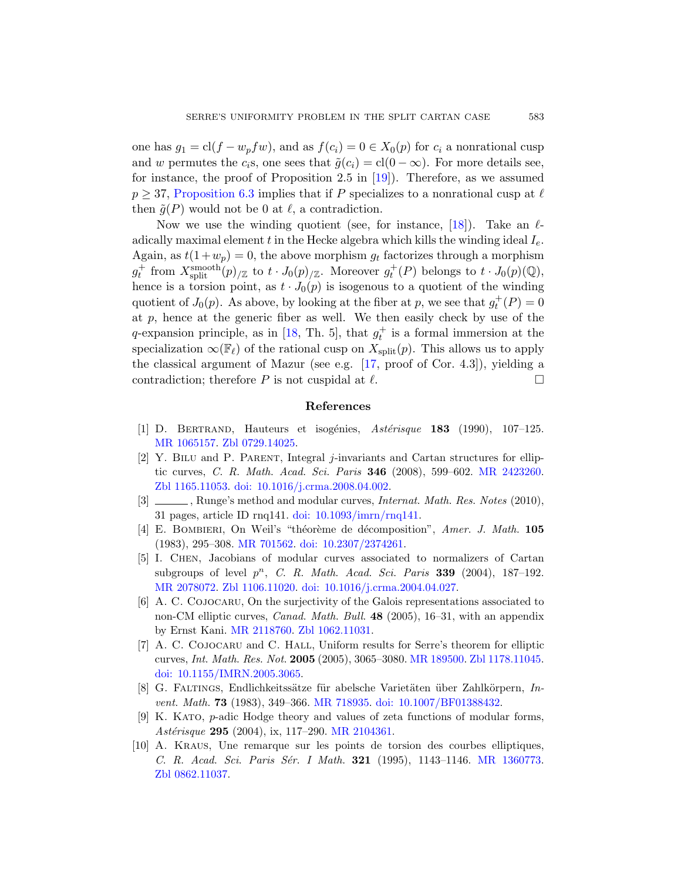one has  $g_1 = cl(f - w_p f w)$ , and as  $f(c_i) = 0 \in X_0(p)$  for  $c_i$  a nonrational cusp and w permutes the c<sub>i</sub>s, one sees that  $\tilde{g}(c_i) = cl(0 - \infty)$ . For more details see, for instance, the proof of Proposition 2.5 in [\[19\]](#page-15-10)). Therefore, as we assumed  $p \geq 37$ , [Proposition 6.3](#page-13-0) implies that if P specializes to a nonrational cusp at  $\ell$ then  $\tilde{q}(P)$  would not be 0 at  $\ell$ , a contradiction.

Now we use the winding quotient (see, for instance,  $[18]$ ). Take an  $\ell$ adically maximal element t in the Hecke algebra which kills the winding ideal  $I_e$ . Again, as  $t(1+w_p) = 0$ , the above morphism  $g_t$  factorizes through a morphism  $g_t^+$  from  $X_{\text{split}}^{\text{smooth}}(p)_{/\mathbb{Z}}$  to  $t \cdot J_0(p)_{/\mathbb{Z}}$ . Moreover  $g_t^+(P)$  belongs to  $t \cdot J_0(p)(\mathbb{Q})$ , hence is a torsion point, as  $t \cdot J_0(p)$  is isogenous to a quotient of the winding quotient of  $J_0(p)$ . As above, by looking at the fiber at p, we see that  $g_t^+(P) = 0$ at  $p$ , hence at the generic fiber as well. We then easily check by use of the q-expansion principle, as in [\[18,](#page-15-11) Th. 5], that  $g_t^+$  is a formal immersion at the specialization  $\infty(\mathbb{F}_{\ell})$  of the rational cusp on  $X_{\text{split}}(p)$ . This allows us to apply the classical argument of Mazur (see e.g. [\[17,](#page-15-5) proof of Cor. 4.3]), yielding a contradiction; therefore P is not cuspidal at  $\ell$ .

# References

- <span id="page-14-8"></span>[1] D. BERTRAND, Hauteurs et isogénies,  $Astérisque$  183 (1990), 107–125. [MR 1065157.](http://www.ams.org/mathscinet-getitem?mr=1065157) [Zbl 0729.14025.](http://www.zentralblatt-math.org/zmath/en/search/?q=an:0729.14025)
- <span id="page-14-3"></span>[2] Y. Bilu and P. Parent, Integral j-invariants and Cartan structures for elliptic curves, C. R. Math. Acad. Sci. Paris 346 (2008), 599–602. [MR 2423260.](http://www.ams.org/mathscinet-getitem?mr=2423260) [Zbl 1165.11053.](http://www.zentralblatt-math.org/zmath/en/search/?q=an:1165.11053) [doi: 10.1016/j.crma.2008.04.002.](http://dx.doi.org/10.1016/j.crma.2008.04.002)
- <span id="page-14-6"></span>[3]  $\_\_\_\_\$  Runge's method and modular curves, *Internat. Math. Res. Notes* (2010), 31 pages, article ID rnq141. [doi: 10.1093/imrn/rnq141.](http://dx.doi.org/10.1093/imrn/rnq141)
- <span id="page-14-7"></span>[4] E. BOMBIERI, On Weil's "théorème de décomposition", Amer. J. Math. 105 (1983), 295–308. [MR 701562.](http://www.ams.org/mathscinet-getitem?mr=701562) [doi: 10.2307/2374261.](http://dx.doi.org/10.2307/2374261)
- <span id="page-14-4"></span>[5] I. Chen, Jacobians of modular curves associated to normalizers of Cartan subgroups of level  $p^n$ , C. R. Math. Acad. Sci. Paris 339 (2004), 187-192. [MR 2078072.](http://www.ams.org/mathscinet-getitem?mr=2078072) [Zbl 1106.11020.](http://www.zentralblatt-math.org/zmath/en/search/?q=an:1106.11020) [doi: 10.1016/j.crma.2004.04.027.](http://dx.doi.org/10.1016/j.crma.2004.04.027)
- <span id="page-14-1"></span>[6] A. C. Cojocaru, On the surjectivity of the Galois representations associated to non-CM elliptic curves, Canad. Math. Bull. 48 (2005), 16–31, with an appendix by Ernst Kani. [MR 2118760.](http://www.ams.org/mathscinet-getitem?mr=2118760) [Zbl 1062.11031.](http://www.zentralblatt-math.org/zmath/en/search/?q=an:1062.11031)
- <span id="page-14-2"></span>[7] A. C. Cojocaru and C. Hall, Uniform results for Serre's theorem for elliptic curves, Int. Math. Res. Not. 2005 (2005), 3065–3080. [MR 189500.](http://www.ams.org/mathscinet-getitem?mr=189500) [Zbl 1178.11045.](http://www.zentralblatt-math.org/zmath/en/search/?q=an:1178.11045) [doi: 10.1155/IMRN.2005.3065.](http://dx.doi.org/10.1155/IMRN.2005.3065)
- <span id="page-14-9"></span>[8] G. FALTINGS, Endlichkeitssätze für abelsche Varietäten über Zahlkörpern,  $In$ vent. Math. 73 (1983), 349–366. [MR 718935.](http://www.ams.org/mathscinet-getitem?mr=718935) [doi: 10.1007/BF01388432.](http://dx.doi.org/10.1007/BF01388432)
- <span id="page-14-5"></span>[9] K. Kato, p-adic Hodge theory and values of zeta functions of modular forms, Astérisque 295 (2004), ix, 117-290. [MR 2104361.](http://www.ams.org/mathscinet-getitem?mr=2104361)
- <span id="page-14-0"></span>[10] A. Kraus, Une remarque sur les points de torsion des courbes elliptiques, C. R. Acad. Sci. Paris Sér. I Math. 321 (1995), 1143-1146. [MR 1360773.](http://www.ams.org/mathscinet-getitem?mr=1360773) [Zbl 0862.11037.](http://www.zentralblatt-math.org/zmath/en/search/?q=an:0862.11037)